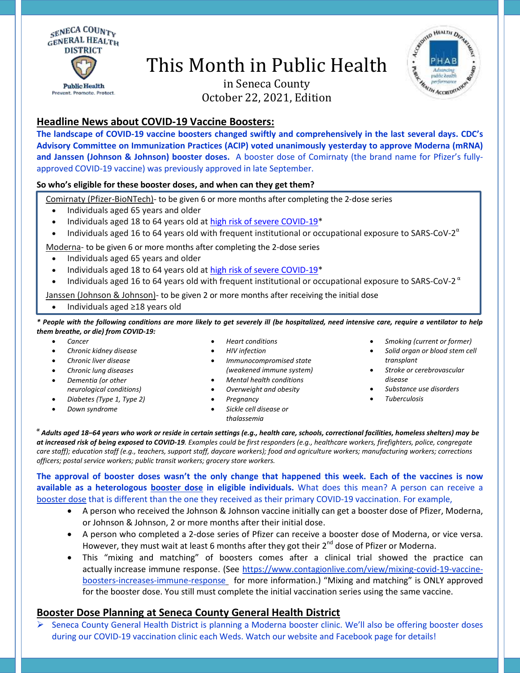

# This Month in Public Health



in Seneca County October 22, 2021, Edition

## **Headline News about COVID-19 Vaccine Boosters:**

**The landscape of COVID-19 vaccine boosters changed swiftly and comprehensively in the last several days. CDC's Advisory Committee on Immunization Practices (ACIP) voted unanimously yesterday to approve Moderna (mRNA) and Janssen (Johnson & Johnson) booster doses.** A booster dose of Comirnaty (the brand name for Pfizer's fullyapproved COVID-19 vaccine) was previously approved in late September.

#### **So who's eligible for these booster doses, and when can they get them?**

Comirnaty (Pfizer-BioNTech)- to be given 6 or more months after completing the 2-dose series

- Individuals aged 65 years and older
- Individuals aged 18 to 64 years old a[t high risk of severe COVID-19\\*](https://www.cdc.gov/coronavirus/2019-ncov/need-extra-precautions/people-with-medical-conditions.html)
- Individuals aged 16 to 64 years old with frequent institutional or occupational exposure to SARS-CoV-2<sup> $\alpha$ </sup>

Moderna- to be given 6 or more months after completing the 2-dose series

- Individuals aged 65 years and older
- Individuals aged 18 to 64 years old a[t high risk of severe COVID-19\\*](https://www.cdc.gov/coronavirus/2019-ncov/need-extra-precautions/people-with-medical-conditions.html)
- Individuals aged 16 to 64 years old with frequent institutional or occupational exposure to SARS-CoV-2<sup>a</sup>

Janssen (Johnson & Johnson)- to be given 2 or more months after receiving the initial dose

Individuals aged ≥18 years old

*\* People with the following conditions are more likely to get severely ill (be hospitalized, need intensive care, require a ventilator to help them breathe, or die) from COVID-19:*

- *Cancer*
- *Chronic kidney disease*
- *Chronic liver disease*
- *Chronic lung diseases*
- *Dementia (or other neurological conditions)*
- *Diabetes (Type 1, Type 2)*
- *Down syndrome*
- *Heart conditions*
- *HIV infection*
- *Immunocompromised state (weakened immune system)*
- *Mental health conditions*
- - *Sickle cell disease or thalassemia*
- *Smoking (current or former)*
- *Solid organ or blood stem cell transplant*
- *Stroke or cerebrovascular disease*
- *Substance use disorders*
- *Tuberculosis*

*α Adults aged 18–64 years who work or reside in certain settings (e.g., health care, schools, correctional facilities, homeless shelters) may be at increased risk of being exposed to COVID-19. Examples could be first responders (e.g., healthcare workers, firefighters, police, congregate care staff); education staff (e.g., teachers, support staff, daycare workers); food and agriculture workers; manufacturing workers; corrections officers; postal service workers; public transit workers; grocery store workers.* 

**The approval of booster doses wasn't the only change that happened this week. Each of the vaccines is now available as a heterologous booster dose in eligible individuals.** What does this mean? A person can receive a booster dose that is different than the one they received as their primary COVID-19 vaccination. For example,

- A person who received the Johnson & Johnson vaccine initially can get a booster dose of Pfizer, Moderna, or Johnson & Johnson, 2 or more months after their initial dose.
- A person who completed a 2-dose series of Pfizer can receive a booster dose of Moderna, or vice versa. However, they must wait at least 6 months after they got their  $2^{nd}$  dose of Pfizer or Moderna.
- This "mixing and matching" of boosters comes after a clinical trial showed the practice can actually [increase immune response.](https://www.contagionlive.com/view/mixing-covid-19-vaccine-boosters-increases-immune-response) (See [https://www.contagionlive.com/view/mixing-covid-19-vaccine](https://www.contagionlive.com/view/mixing-covid-19-vaccine-boosters-increases-immune-response)[boosters-increases-immune-response](https://www.contagionlive.com/view/mixing-covid-19-vaccine-boosters-increases-immune-response) for more information.) "Mixing and matching" is ONLY approved for the booster dose. You still must complete the initial vaccination series using the same vaccine.

### **Booster Dose Planning at Seneca County General Health District**

 Seneca County General Health District is planning a Moderna booster clinic. We'll also be offering booster doses during our COVID-19 vaccination clinic each Weds. Watch our website and Facebook page for details!

- *Overweight and obesity Pregnancy*
-